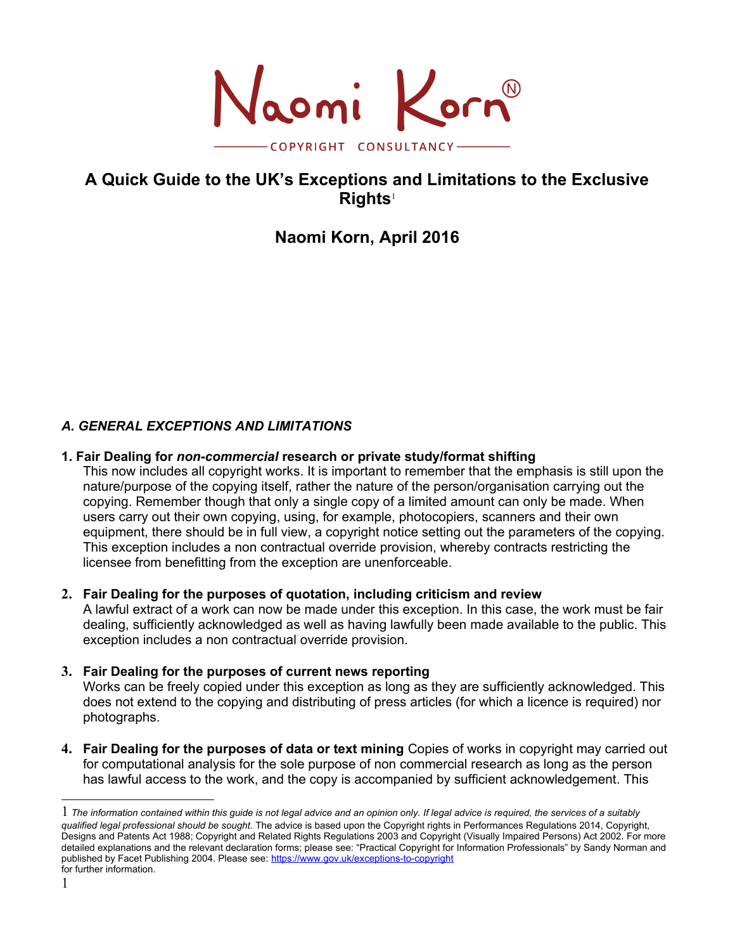Naomi Korn -COPYRIGHT CONSULTANCY-

# **A Quick Guide to the UK's Exceptions and Limitations to the Exclusive Rights**[1](#page-0-0)

# **Naomi Korn, April 2016**

# *A. GENERAL EXCEPTIONS AND LIMITATIONS*

#### **1. Fair Dealing for** *non-commercial* **research or private study/format shifting**

This now includes all copyright works. It is important to remember that the emphasis is still upon the nature/purpose of the copying itself, rather the nature of the person/organisation carrying out the copying. Remember though that only a single copy of a limited amount can only be made. When users carry out their own copying, using, for example, photocopiers, scanners and their own equipment, there should be in full view, a copyright notice setting out the parameters of the copying. This exception includes a non contractual override provision, whereby contracts restricting the licensee from benefitting from the exception are unenforceable.

#### **2. Fair Dealing for the purposes of quotation, including criticism and review**

A lawful extract of a work can now be made under this exception. In this case, the work must be fair dealing, sufficiently acknowledged as well as having lawfully been made available to the public. This exception includes a non contractual override provision.

#### **3. Fair Dealing for the purposes of current news reporting**

Works can be freely copied under this exception as long as they are sufficiently acknowledged. This does not extend to the copying and distributing of press articles (for which a licence is required) nor photographs.

**4. Fair Dealing for the purposes of data or text mining** Copies of works in copyright may carried out for computational analysis for the sole purpose of non commercial research as long as the person has lawful access to the work, and the copy is accompanied by sufficient acknowledgement. This

<span id="page-0-0"></span><sup>1</sup>-*The information contained within this guide is not legal advice and an opinion only. If legal advice is required, the services of a suitably qualified legal professional should be sought.* The advice is based upon the Copyright rights in Performances Regulations 2014, Copyright, Designs and Patents Act 1988; Copyright and Related Rights Regulations 2003 and Copyright (Visually Impaired Persons) Act 2002. For more detailed explanations and the relevant declaration forms; please see: "Practical Copyright for Information Professionals" by Sandy Norman and published by Facet Publishing 2004. Please see:<https://www.gov.uk/exceptions-to-copyright> for further information.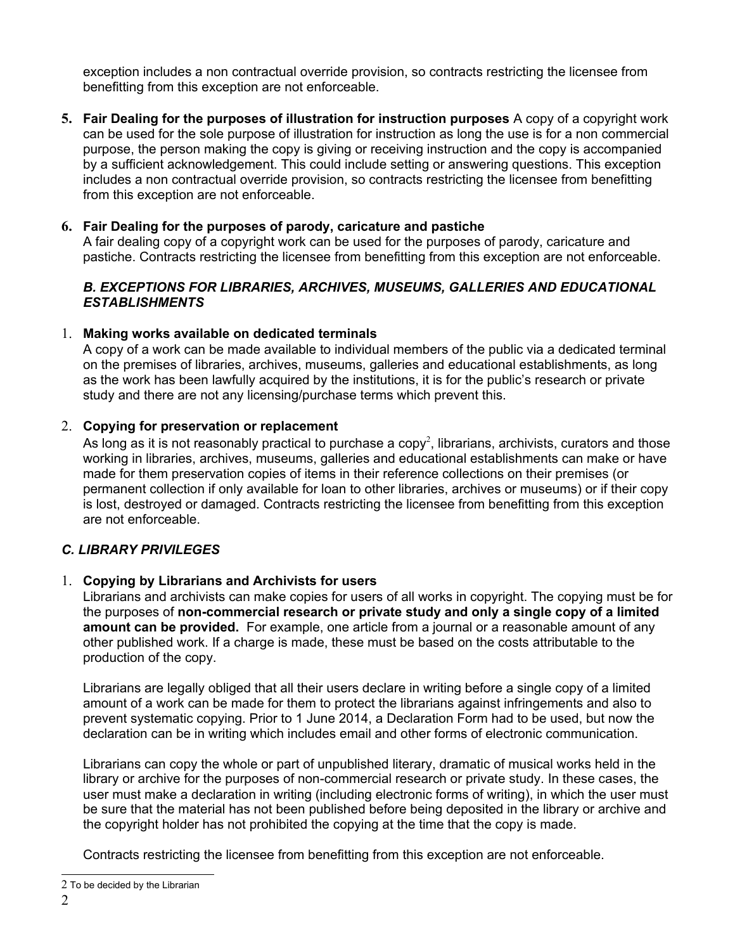exception includes a non contractual override provision, so contracts restricting the licensee from benefitting from this exception are not enforceable.

**5. Fair Dealing for the purposes of illustration for instruction purposes** A copy of a copyright work can be used for the sole purpose of illustration for instruction as long the use is for a non commercial purpose, the person making the copy is giving or receiving instruction and the copy is accompanied by a sufficient acknowledgement. This could include setting or answering questions. This exception includes a non contractual override provision, so contracts restricting the licensee from benefitting from this exception are not enforceable.

## **6. Fair Dealing for the purposes of parody, caricature and pastiche**

A fair dealing copy of a copyright work can be used for the purposes of parody, caricature and pastiche. Contracts restricting the licensee from benefitting from this exception are not enforceable.

### *B. EXCEPTIONS FOR LIBRARIES, ARCHIVES, MUSEUMS, GALLERIES AND EDUCATIONAL ESTABLISHMENTS*

### 1. **Making works available on dedicated terminals**

A copy of a work can be made available to individual members of the public via a dedicated terminal on the premises of libraries, archives, museums, galleries and educational establishments, as long as the work has been lawfully acquired by the institutions, it is for the public's research or private study and there are not any licensing/purchase terms which prevent this.

# 2. **Copying for preservation or replacement**

As long as it is not reasonably practical to purchase a copy<sup>[2](#page-1-0)</sup>, librarians, archivists, curators and those working in libraries, archives, museums, galleries and educational establishments can make or have made for them preservation copies of items in their reference collections on their premises (or permanent collection if only available for loan to other libraries, archives or museums) or if their copy is lost, destroyed or damaged. Contracts restricting the licensee from benefitting from this exception are not enforceable.

# *C. LIBRARY PRIVILEGES*

### 1. **Copying by Librarians and Archivists for users**

Librarians and archivists can make copies for users of all works in copyright. The copying must be for the purposes of **non-commercial research or private study and only a single copy of a limited amount can be provided.** For example, one article from a journal or a reasonable amount of any other published work. If a charge is made, these must be based on the costs attributable to the production of the copy.

Librarians are legally obliged that all their users declare in writing before a single copy of a limited amount of a work can be made for them to protect the librarians against infringements and also to prevent systematic copying. Prior to 1 June 2014, a Declaration Form had to be used, but now the declaration can be in writing which includes email and other forms of electronic communication.

Librarians can copy the whole or part of unpublished literary, dramatic of musical works held in the library or archive for the purposes of non-commercial research or private study. In these cases, the user must make a declaration in writing (including electronic forms of writing), in which the user must be sure that the material has not been published before being deposited in the library or archive and the copyright holder has not prohibited the copying at the time that the copy is made.

Contracts restricting the licensee from benefitting from this exception are not enforceable.

<span id="page-1-0"></span> $2$ <sup> $-$ </sup>To be decided by the Librarian